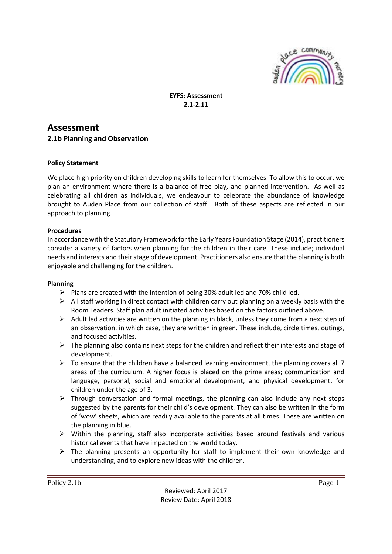

# **EYFS: Assessment 2.1-2.11**

# **Assessment**

# **2.1b Planning and Observation**

## **Policy Statement**

We place high priority on children developing skills to learn for themselves. To allow this to occur, we plan an environment where there is a balance of free play, and planned intervention. As well as celebrating all children as individuals, we endeavour to celebrate the abundance of knowledge brought to Auden Place from our collection of staff. Both of these aspects are reflected in our approach to planning.

#### **Procedures**

In accordance with the Statutory Framework for the Early Years Foundation Stage (2014), practitioners consider a variety of factors when planning for the children in their care. These include; individual needs and interests and their stage of development. Practitioners also ensure that the planning is both enjoyable and challenging for the children.

#### **Planning**

- $\triangleright$  Plans are created with the intention of being 30% adult led and 70% child led.
- $\triangleright$  All staff working in direct contact with children carry out planning on a weekly basis with the Room Leaders. Staff plan adult initiated activities based on the factors outlined above.
- $\triangleright$  Adult led activities are written on the planning in black, unless they come from a next step of an observation, in which case, they are written in green. These include, circle times, outings, and focused activities.
- $\triangleright$  The planning also contains next steps for the children and reflect their interests and stage of development.
- $\triangleright$  To ensure that the children have a balanced learning environment, the planning covers all 7 areas of the curriculum. A higher focus is placed on the prime areas; communication and language, personal, social and emotional development, and physical development, for children under the age of 3.
- $\triangleright$  Through conversation and formal meetings, the planning can also include any next steps suggested by the parents for their child's development. They can also be written in the form of 'wow' sheets, which are readily available to the parents at all times. These are written on the planning in blue.
- $\triangleright$  Within the planning, staff also incorporate activities based around festivals and various historical events that have impacted on the world today.
- $\triangleright$  The planning presents an opportunity for staff to implement their own knowledge and understanding, and to explore new ideas with the children.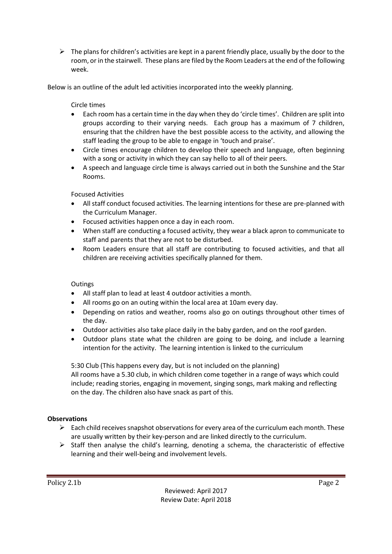$\triangleright$  The plans for children's activities are kept in a parent friendly place, usually by the door to the room, or in the stairwell. These plans are filed by the Room Leaders at the end of the following week.

Below is an outline of the adult led activities incorporated into the weekly planning.

Circle times

- Each room has a certain time in the day when they do 'circle times'. Children are split into groups according to their varying needs. Each group has a maximum of 7 children, ensuring that the children have the best possible access to the activity, and allowing the staff leading the group to be able to engage in 'touch and praise'.
- Circle times encourage children to develop their speech and language, often beginning with a song or activity in which they can say hello to all of their peers.
- A speech and language circle time is always carried out in both the Sunshine and the Star Rooms.

Focused Activities

- All staff conduct focused activities. The learning intentions for these are pre-planned with the Curriculum Manager.
- Focused activities happen once a day in each room.
- When staff are conducting a focused activity, they wear a black apron to communicate to staff and parents that they are not to be disturbed.
- Room Leaders ensure that all staff are contributing to focused activities, and that all children are receiving activities specifically planned for them.

## **Outings**

- All staff plan to lead at least 4 outdoor activities a month.
- All rooms go on an outing within the local area at 10am every day.
- Depending on ratios and weather, rooms also go on outings throughout other times of the day.
- Outdoor activities also take place daily in the baby garden, and on the roof garden.
- Outdoor plans state what the children are going to be doing, and include a learning intention for the activity. The learning intention is linked to the curriculum

5:30 Club (This happens every day, but is not included on the planning) All rooms have a 5.30 club, in which children come together in a range of ways which could include; reading stories, engaging in movement, singing songs, mark making and reflecting on the day. The children also have snack as part of this.

## **Observations**

- $\triangleright$  Each child receives snapshot observations for every area of the curriculum each month. These are usually written by their key-person and are linked directly to the curriculum.
- $\triangleright$  Staff then analyse the child's learning, denoting a schema, the characteristic of effective learning and their well-being and involvement levels.